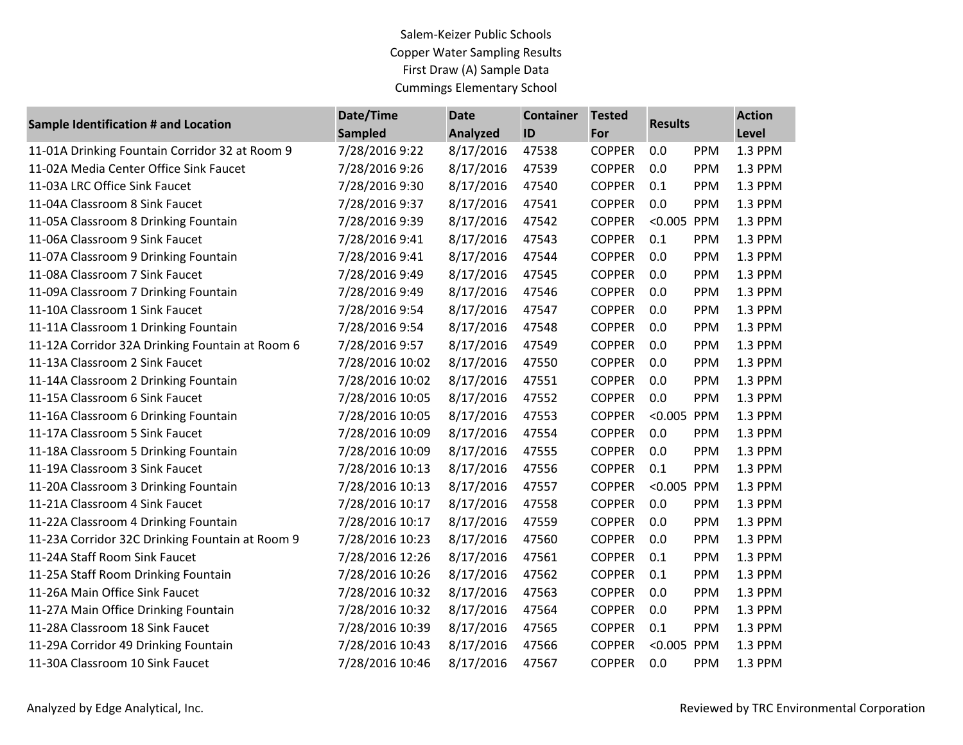## Salem-Keizer Public Schools Copper Water Sampling Results First Draw (A) Sample Data Cummings Elementary School

| Sample Identification # and Location            | Date/Time       | <b>Date</b>     | <b>Container</b> | <b>Tested</b> | <b>Results</b> |            | <b>Action</b> |
|-------------------------------------------------|-----------------|-----------------|------------------|---------------|----------------|------------|---------------|
|                                                 | <b>Sampled</b>  | <b>Analyzed</b> | ID               | For           |                |            | Level         |
| 11-01A Drinking Fountain Corridor 32 at Room 9  | 7/28/2016 9:22  | 8/17/2016       | 47538            | <b>COPPER</b> | 0.0            | <b>PPM</b> | 1.3 PPM       |
| 11-02A Media Center Office Sink Faucet          | 7/28/2016 9:26  | 8/17/2016       | 47539            | <b>COPPER</b> | 0.0            | <b>PPM</b> | 1.3 PPM       |
| 11-03A LRC Office Sink Faucet                   | 7/28/2016 9:30  | 8/17/2016       | 47540            | <b>COPPER</b> | 0.1            | <b>PPM</b> | 1.3 PPM       |
| 11-04A Classroom 8 Sink Faucet                  | 7/28/2016 9:37  | 8/17/2016       | 47541            | <b>COPPER</b> | 0.0            | <b>PPM</b> | 1.3 PPM       |
| 11-05A Classroom 8 Drinking Fountain            | 7/28/2016 9:39  | 8/17/2016       | 47542            | <b>COPPER</b> | < 0.005        | PPM        | 1.3 PPM       |
| 11-06A Classroom 9 Sink Faucet                  | 7/28/2016 9:41  | 8/17/2016       | 47543            | <b>COPPER</b> | 0.1            | PPM        | 1.3 PPM       |
| 11-07A Classroom 9 Drinking Fountain            | 7/28/2016 9:41  | 8/17/2016       | 47544            | <b>COPPER</b> | 0.0            | <b>PPM</b> | 1.3 PPM       |
| 11-08A Classroom 7 Sink Faucet                  | 7/28/2016 9:49  | 8/17/2016       | 47545            | <b>COPPER</b> | 0.0            | <b>PPM</b> | 1.3 PPM       |
| 11-09A Classroom 7 Drinking Fountain            | 7/28/2016 9:49  | 8/17/2016       | 47546            | <b>COPPER</b> | 0.0            | <b>PPM</b> | 1.3 PPM       |
| 11-10A Classroom 1 Sink Faucet                  | 7/28/2016 9:54  | 8/17/2016       | 47547            | <b>COPPER</b> | 0.0            | PPM        | 1.3 PPM       |
| 11-11A Classroom 1 Drinking Fountain            | 7/28/2016 9:54  | 8/17/2016       | 47548            | <b>COPPER</b> | 0.0            | PPM        | 1.3 PPM       |
| 11-12A Corridor 32A Drinking Fountain at Room 6 | 7/28/2016 9:57  | 8/17/2016       | 47549            | <b>COPPER</b> | 0.0            | PPM        | 1.3 PPM       |
| 11-13A Classroom 2 Sink Faucet                  | 7/28/2016 10:02 | 8/17/2016       | 47550            | <b>COPPER</b> | 0.0            | <b>PPM</b> | 1.3 PPM       |
| 11-14A Classroom 2 Drinking Fountain            | 7/28/2016 10:02 | 8/17/2016       | 47551            | <b>COPPER</b> | 0.0            | <b>PPM</b> | 1.3 PPM       |
| 11-15A Classroom 6 Sink Faucet                  | 7/28/2016 10:05 | 8/17/2016       | 47552            | <b>COPPER</b> | 0.0            | <b>PPM</b> | 1.3 PPM       |
| 11-16A Classroom 6 Drinking Fountain            | 7/28/2016 10:05 | 8/17/2016       | 47553            | <b>COPPER</b> | < 0.005        | PPM        | 1.3 PPM       |
| 11-17A Classroom 5 Sink Faucet                  | 7/28/2016 10:09 | 8/17/2016       | 47554            | <b>COPPER</b> | 0.0            | PPM        | 1.3 PPM       |
| 11-18A Classroom 5 Drinking Fountain            | 7/28/2016 10:09 | 8/17/2016       | 47555            | <b>COPPER</b> | 0.0            | PPM        | 1.3 PPM       |
| 11-19A Classroom 3 Sink Faucet                  | 7/28/2016 10:13 | 8/17/2016       | 47556            | <b>COPPER</b> | 0.1            | PPM        | 1.3 PPM       |
| 11-20A Classroom 3 Drinking Fountain            | 7/28/2016 10:13 | 8/17/2016       | 47557            | <b>COPPER</b> | < 0.005        | PPM        | 1.3 PPM       |
| 11-21A Classroom 4 Sink Faucet                  | 7/28/2016 10:17 | 8/17/2016       | 47558            | <b>COPPER</b> | 0.0            | <b>PPM</b> | 1.3 PPM       |
| 11-22A Classroom 4 Drinking Fountain            | 7/28/2016 10:17 | 8/17/2016       | 47559            | <b>COPPER</b> | 0.0            | PPM        | 1.3 PPM       |
| 11-23A Corridor 32C Drinking Fountain at Room 9 | 7/28/2016 10:23 | 8/17/2016       | 47560            | <b>COPPER</b> | 0.0            | PPM        | 1.3 PPM       |
| 11-24A Staff Room Sink Faucet                   | 7/28/2016 12:26 | 8/17/2016       | 47561            | <b>COPPER</b> | 0.1            | PPM        | 1.3 PPM       |
| 11-25A Staff Room Drinking Fountain             | 7/28/2016 10:26 | 8/17/2016       | 47562            | <b>COPPER</b> | 0.1            | <b>PPM</b> | 1.3 PPM       |
| 11-26A Main Office Sink Faucet                  | 7/28/2016 10:32 | 8/17/2016       | 47563            | <b>COPPER</b> | 0.0            | <b>PPM</b> | 1.3 PPM       |
| 11-27A Main Office Drinking Fountain            | 7/28/2016 10:32 | 8/17/2016       | 47564            | <b>COPPER</b> | 0.0            | <b>PPM</b> | 1.3 PPM       |
| 11-28A Classroom 18 Sink Faucet                 | 7/28/2016 10:39 | 8/17/2016       | 47565            | <b>COPPER</b> | 0.1            | <b>PPM</b> | 1.3 PPM       |
| 11-29A Corridor 49 Drinking Fountain            | 7/28/2016 10:43 | 8/17/2016       | 47566            | <b>COPPER</b> | < 0.005        | PPM        | 1.3 PPM       |
| 11-30A Classroom 10 Sink Faucet                 | 7/28/2016 10:46 | 8/17/2016       | 47567            | <b>COPPER</b> | 0.0            | <b>PPM</b> | 1.3 PPM       |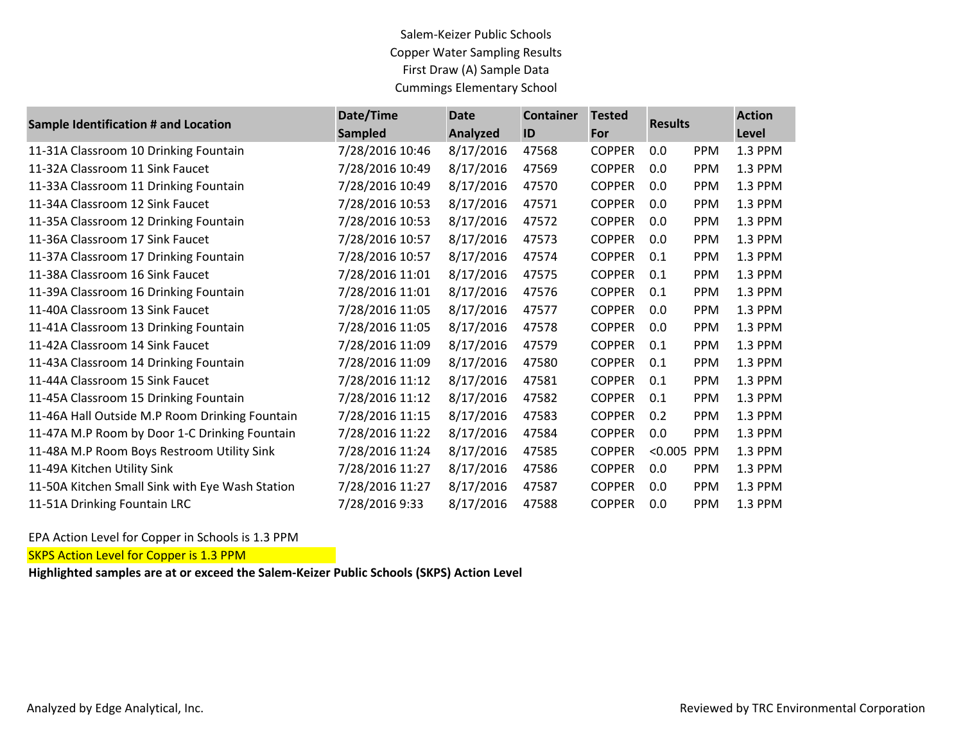## Salem-Keizer Public Schools Copper Water Sampling Results First Draw (A) Sample Data Cummings Elementary School

| Sample Identification # and Location            | Date/Time       | <b>Date</b> | <b>Container</b> | <b>Tested</b> | <b>Results</b> |            | <b>Action</b> |
|-------------------------------------------------|-----------------|-------------|------------------|---------------|----------------|------------|---------------|
|                                                 | <b>Sampled</b>  | Analyzed    | ID               | For           |                |            | <b>Level</b>  |
| 11-31A Classroom 10 Drinking Fountain           | 7/28/2016 10:46 | 8/17/2016   | 47568            | <b>COPPER</b> | 0.0            | <b>PPM</b> | 1.3 PPM       |
| 11-32A Classroom 11 Sink Faucet                 | 7/28/2016 10:49 | 8/17/2016   | 47569            | <b>COPPER</b> | 0.0            | <b>PPM</b> | 1.3 PPM       |
| 11-33A Classroom 11 Drinking Fountain           | 7/28/2016 10:49 | 8/17/2016   | 47570            | <b>COPPER</b> | 0.0            | <b>PPM</b> | 1.3 PPM       |
| 11-34A Classroom 12 Sink Faucet                 | 7/28/2016 10:53 | 8/17/2016   | 47571            | <b>COPPER</b> | 0.0            | <b>PPM</b> | 1.3 PPM       |
| 11-35A Classroom 12 Drinking Fountain           | 7/28/2016 10:53 | 8/17/2016   | 47572            | <b>COPPER</b> | 0.0            | <b>PPM</b> | 1.3 PPM       |
| 11-36A Classroom 17 Sink Faucet                 | 7/28/2016 10:57 | 8/17/2016   | 47573            | <b>COPPER</b> | 0.0            | <b>PPM</b> | 1.3 PPM       |
| 11-37A Classroom 17 Drinking Fountain           | 7/28/2016 10:57 | 8/17/2016   | 47574            | <b>COPPER</b> | 0.1            | <b>PPM</b> | 1.3 PPM       |
| 11-38A Classroom 16 Sink Faucet                 | 7/28/2016 11:01 | 8/17/2016   | 47575            | <b>COPPER</b> | 0.1            | PPM        | 1.3 PPM       |
| 11-39A Classroom 16 Drinking Fountain           | 7/28/2016 11:01 | 8/17/2016   | 47576            | <b>COPPER</b> | 0.1            | <b>PPM</b> | 1.3 PPM       |
| 11-40A Classroom 13 Sink Faucet                 | 7/28/2016 11:05 | 8/17/2016   | 47577            | <b>COPPER</b> | 0.0            | <b>PPM</b> | 1.3 PPM       |
| 11-41A Classroom 13 Drinking Fountain           | 7/28/2016 11:05 | 8/17/2016   | 47578            | <b>COPPER</b> | 0.0            | <b>PPM</b> | 1.3 PPM       |
| 11-42A Classroom 14 Sink Faucet                 | 7/28/2016 11:09 | 8/17/2016   | 47579            | <b>COPPER</b> | 0.1            | <b>PPM</b> | 1.3 PPM       |
| 11-43A Classroom 14 Drinking Fountain           | 7/28/2016 11:09 | 8/17/2016   | 47580            | <b>COPPER</b> | 0.1            | <b>PPM</b> | 1.3 PPM       |
| 11-44A Classroom 15 Sink Faucet                 | 7/28/2016 11:12 | 8/17/2016   | 47581            | <b>COPPER</b> | 0.1            | <b>PPM</b> | 1.3 PPM       |
| 11-45A Classroom 15 Drinking Fountain           | 7/28/2016 11:12 | 8/17/2016   | 47582            | <b>COPPER</b> | 0.1            | <b>PPM</b> | 1.3 PPM       |
| 11-46A Hall Outside M.P Room Drinking Fountain  | 7/28/2016 11:15 | 8/17/2016   | 47583            | <b>COPPER</b> | 0.2            | <b>PPM</b> | 1.3 PPM       |
| 11-47A M.P Room by Door 1-C Drinking Fountain   | 7/28/2016 11:22 | 8/17/2016   | 47584            | <b>COPPER</b> | 0.0            | <b>PPM</b> | 1.3 PPM       |
| 11-48A M.P Room Boys Restroom Utility Sink      | 7/28/2016 11:24 | 8/17/2016   | 47585            | <b>COPPER</b> | < 0.005        | PPM        | 1.3 PPM       |
| 11-49A Kitchen Utility Sink                     | 7/28/2016 11:27 | 8/17/2016   | 47586            | <b>COPPER</b> | 0.0            | <b>PPM</b> | 1.3 PPM       |
| 11-50A Kitchen Small Sink with Eye Wash Station | 7/28/2016 11:27 | 8/17/2016   | 47587            | <b>COPPER</b> | 0.0            | <b>PPM</b> | 1.3 PPM       |
| 11-51A Drinking Fountain LRC                    | 7/28/2016 9:33  | 8/17/2016   | 47588            | <b>COPPER</b> | 0.0            | <b>PPM</b> | 1.3 PPM       |

EPA Action Level for Copper in Schools is 1.3 PPM

**SKPS Action Level for Copper is 1.3 PPM** 

**Highlighted samples are at or exceed the Salem-Keizer Public Schools (SKPS) Action Level**